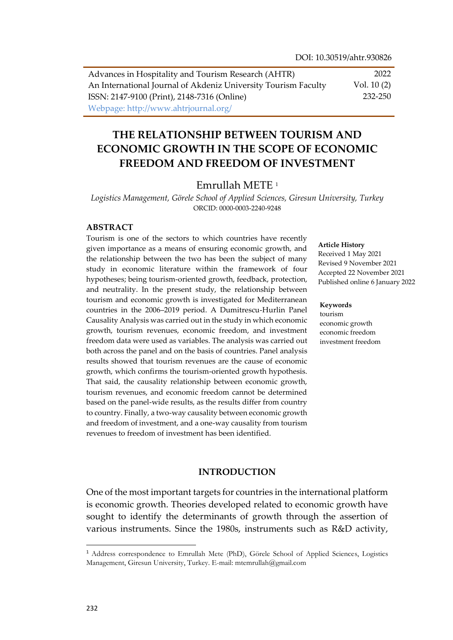| Advances in Hospitality and Tourism Research (AHTR)            | 2022         |
|----------------------------------------------------------------|--------------|
| An International Journal of Akdeniz University Tourism Faculty | Vol. $10(2)$ |
| ISSN: 2147-9100 (Print), 2148-7316 (Online)                    | 232-250      |
| Webpage: http://www.ahtrjournal.org/                           |              |

# **THE RELATIONSHIP BETWEEN TOURISM AND ECONOMIC GROWTH IN THE SCOPE OF ECONOMIC FREEDOM AND FREEDOM OF INVESTMENT**

### Emrullah METE <sup>1</sup>

*Logistics Management, Görele School of Applied Sciences, Giresun University, Turkey* ORCID: 0000-0003-2240-9248

#### **ABSTRACT**

Tourism is one of the sectors to which countries have recently given importance as a means of ensuring economic growth, and the relationship between the two has been the subject of many study in economic literature within the framework of four hypotheses; being tourism-oriented growth, feedback, protection, and neutrality. In the present study, the relationship between tourism and economic growth is investigated for Mediterranean countries in the 2006–2019 period. A Dumitrescu-Hurlin Panel Causality Analysis was carried out in the study in which economic growth, tourism revenues, economic freedom, and investment freedom data were used as variables. The analysis was carried out both across the panel and on the basis of countries. Panel analysis results showed that tourism revenues are the cause of economic growth, which confirms the tourism-oriented growth hypothesis. That said, the causality relationship between economic growth, tourism revenues, and economic freedom cannot be determined based on the panel-wide results, as the results differ from country to country. Finally, a two-way causality between economic growth and freedom of investment, and a one-way causality from tourism revenues to freedom of investment has been identified.

#### **Article History**

Received 1 May 2021 Revised 9 November 2021 Accepted 22 November 2021 Published online 6 January 2022

#### **Keywords**

tourism economic growth economic freedom investment freedom

#### **INTRODUCTION**

One of the most important targets for countries in the international platform is economic growth. Theories developed related to economic growth have sought to identify the determinants of growth through the assertion of various instruments. Since the 1980s, instruments such as R&D activity,

 $\overline{a}$ 

<sup>1</sup> Address correspondence to Emrullah Mete (PhD), Görele School of Applied Sciences, Logistics Management, Giresun University, Turkey. E-mail: mtemrullah@gmail.com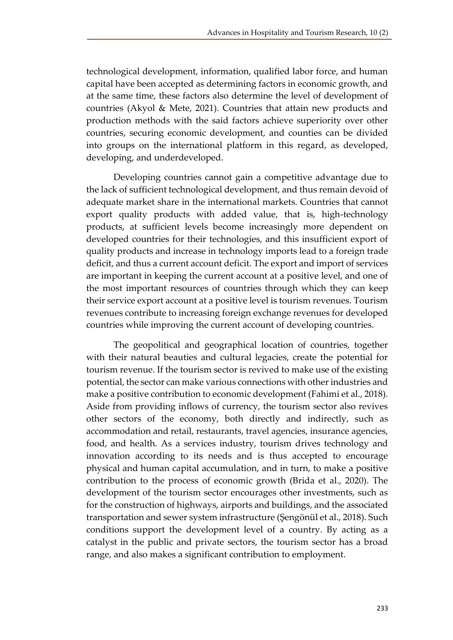technological development, information, qualified labor force, and human capital have been accepted as determining factors in economic growth, and at the same time, these factors also determine the level of development of countries (Akyol & Mete, 2021). Countries that attain new products and production methods with the said factors achieve superiority over other countries, securing economic development, and counties can be divided into groups on the international platform in this regard, as developed, developing, and underdeveloped.

Developing countries cannot gain a competitive advantage due to the lack of sufficient technological development, and thus remain devoid of adequate market share in the international markets. Countries that cannot export quality products with added value, that is, high-technology products, at sufficient levels become increasingly more dependent on developed countries for their technologies, and this insufficient export of quality products and increase in technology imports lead to a foreign trade deficit, and thus a current account deficit. The export and import of services are important in keeping the current account at a positive level, and one of the most important resources of countries through which they can keep their service export account at a positive level is tourism revenues. Tourism revenues contribute to increasing foreign exchange revenues for developed countries while improving the current account of developing countries.

The geopolitical and geographical location of countries, together with their natural beauties and cultural legacies, create the potential for tourism revenue. If the tourism sector is revived to make use of the existing potential, the sector can make various connections with other industries and make a positive contribution to economic development (Fahimi et al., 2018). Aside from providing inflows of currency, the tourism sector also revives other sectors of the economy, both directly and indirectly, such as accommodation and retail, restaurants, travel agencies, insurance agencies, food, and health. As a services industry, tourism drives technology and innovation according to its needs and is thus accepted to encourage physical and human capital accumulation, and in turn, to make a positive contribution to the process of economic growth (Brida et al., 2020). The development of the tourism sector encourages other investments, such as for the construction of highways, airports and buildings, and the associated transportation and sewer system infrastructure (Şengönül et al., 2018). Such conditions support the development level of a country. By acting as a catalyst in the public and private sectors, the tourism sector has a broad range, and also makes a significant contribution to employment.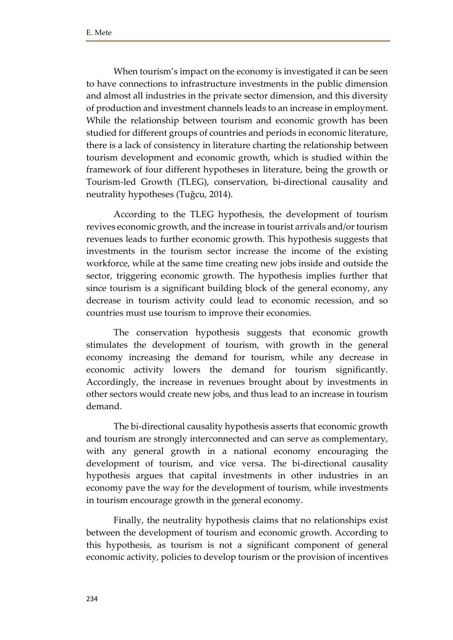When tourism's impact on the economy is investigated it can be seen to have connections to infrastructure investments in the public dimension and almost all industries in the private sector dimension, and this diversity of production and investment channels leads to an increase in employment. While the relationship between tourism and economic growth has been studied for different groups of countries and periods in economic literature, there is a lack of consistency in literature charting the relationship between tourism development and economic growth, which is studied within the framework of four different hypotheses in literature, being the growth or Tourism-led Growth (TLEG), conservation, bi-directional causality and neutrality hypotheses (Tuğcu, 2014).

According to the TLEG hypothesis, the development of tourism revives economic growth, and the increase in tourist arrivals and/or tourism revenues leads to further economic growth. This hypothesis suggests that investments in the tourism sector increase the income of the existing workforce, while at the same time creating new jobs inside and outside the sector, triggering economic growth. The hypothesis implies further that since tourism is a significant building block of the general economy, any decrease in tourism activity could lead to economic recession, and so countries must use tourism to improve their economies.

The conservation hypothesis suggests that economic growth stimulates the development of tourism, with growth in the general economy increasing the demand for tourism, while any decrease in economic activity lowers the demand for tourism significantly. Accordingly, the increase in revenues brought about by investments in other sectors would create new jobs, and thus lead to an increase in tourism demand.

The bi-directional causality hypothesis asserts that economic growth and tourism are strongly interconnected and can serve as complementary, with any general growth in a national economy encouraging the development of tourism, and vice versa. The bi-directional causality hypothesis argues that capital investments in other industries in an economy pave the way for the development of tourism, while investments in tourism encourage growth in the general economy.

Finally, the neutrality hypothesis claims that no relationships exist between the development of tourism and economic growth. According to this hypothesis, as tourism is not a significant component of general economic activity, policies to develop tourism or the provision of incentives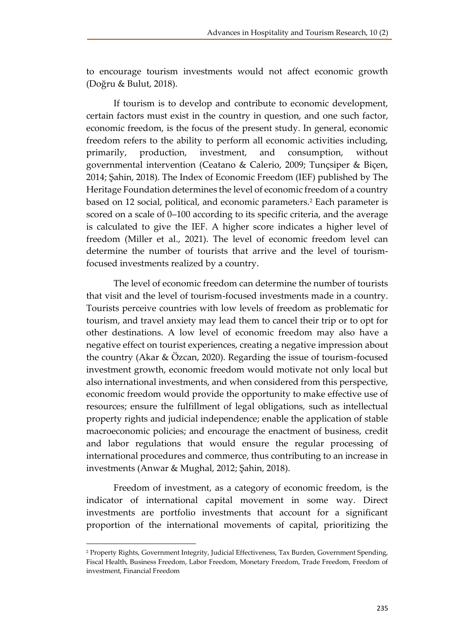to encourage tourism investments would not affect economic growth (Doğru & Bulut, 2018).

If tourism is to develop and contribute to economic development, certain factors must exist in the country in question, and one such factor, economic freedom, is the focus of the present study. In general, economic freedom refers to the ability to perform all economic activities including, primarily, production, investment, and consumption, without governmental intervention (Ceatano & Calerio, 2009; Tunçsiper & Biçen, 2014; Şahin, 2018). The Index of Economic Freedom (IEF) published by The Heritage Foundation determines the level of economic freedom of a country based on 12 social, political, and economic parameters.<sup>2</sup> Each parameter is scored on a scale of 0–100 according to its specific criteria, and the average is calculated to give the IEF. A higher score indicates a higher level of freedom (Miller et al., 2021). The level of economic freedom level can determine the number of tourists that arrive and the level of tourismfocused investments realized by a country.

The level of economic freedom can determine the number of tourists that visit and the level of tourism-focused investments made in a country. Tourists perceive countries with low levels of freedom as problematic for tourism, and travel anxiety may lead them to cancel their trip or to opt for other destinations. A low level of economic freedom may also have a negative effect on tourist experiences, creating a negative impression about the country (Akar & Özcan, 2020). Regarding the issue of tourism-focused investment growth, economic freedom would motivate not only local but also international investments, and when considered from this perspective, economic freedom would provide the opportunity to make effective use of resources; ensure the fulfillment of legal obligations, such as intellectual property rights and judicial independence; enable the application of stable macroeconomic policies; and encourage the enactment of business, credit and labor regulations that would ensure the regular processing of international procedures and commerce, thus contributing to an increase in investments (Anwar & Mughal, 2012; Şahin, 2018).

Freedom of investment, as a category of economic freedom, is the indicator of international capital movement in some way. Direct investments are portfolio investments that account for a significant proportion of the international movements of capital, prioritizing the

 $\overline{\phantom{a}}$ 

<sup>&</sup>lt;sup>2</sup> Property Rights, Government Integrity, Judicial Effectiveness, Tax Burden, Government Spending, Fiscal Health, Business Freedom, Labor Freedom, Monetary Freedom, Trade Freedom, Freedom of investment, Financial Freedom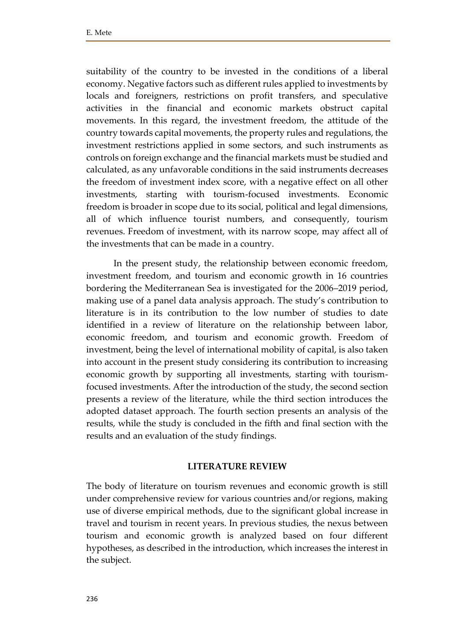suitability of the country to be invested in the conditions of a liberal economy. Negative factors such as different rules applied to investments by locals and foreigners, restrictions on profit transfers, and speculative activities in the financial and economic markets obstruct capital movements. In this regard, the investment freedom, the attitude of the country towards capital movements, the property rules and regulations, the investment restrictions applied in some sectors, and such instruments as controls on foreign exchange and the financial markets must be studied and calculated, as any unfavorable conditions in the said instruments decreases the freedom of investment index score, with a negative effect on all other investments, starting with tourism-focused investments. Economic freedom is broader in scope due to its social, political and legal dimensions, all of which influence tourist numbers, and consequently, tourism revenues. Freedom of investment, with its narrow scope, may affect all of the investments that can be made in a country.

In the present study, the relationship between economic freedom, investment freedom, and tourism and economic growth in 16 countries bordering the Mediterranean Sea is investigated for the 2006–2019 period, making use of a panel data analysis approach. The study's contribution to literature is in its contribution to the low number of studies to date identified in a review of literature on the relationship between labor, economic freedom, and tourism and economic growth. Freedom of investment, being the level of international mobility of capital, is also taken into account in the present study considering its contribution to increasing economic growth by supporting all investments, starting with tourismfocused investments. After the introduction of the study, the second section presents a review of the literature, while the third section introduces the adopted dataset approach. The fourth section presents an analysis of the results, while the study is concluded in the fifth and final section with the results and an evaluation of the study findings.

### **LITERATURE REVIEW**

The body of literature on tourism revenues and economic growth is still under comprehensive review for various countries and/or regions, making use of diverse empirical methods, due to the significant global increase in travel and tourism in recent years. In previous studies, the nexus between tourism and economic growth is analyzed based on four different hypotheses, as described in the introduction, which increases the interest in the subject.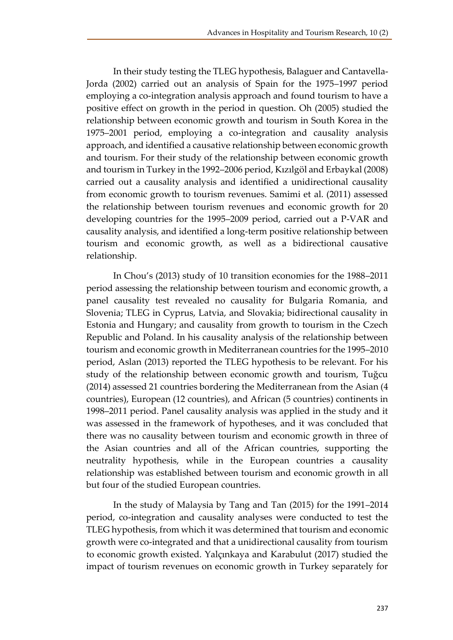In their study testing the TLEG hypothesis, Balaguer and Cantavella-Jorda (2002) carried out an analysis of Spain for the 1975–1997 period employing a co-integration analysis approach and found tourism to have a positive effect on growth in the period in question. Oh (2005) studied the relationship between economic growth and tourism in South Korea in the 1975–2001 period, employing a co-integration and causality analysis approach, and identified a causative relationship between economic growth and tourism. For their study of the relationship between economic growth and tourism in Turkey in the 1992–2006 period, Kızılgöl and Erbaykal (2008) carried out a causality analysis and identified a unidirectional causality from economic growth to tourism revenues. Samimi et al. (2011) assessed the relationship between tourism revenues and economic growth for 20 developing countries for the 1995–2009 period, carried out a P-VAR and causality analysis, and identified a long-term positive relationship between tourism and economic growth, as well as a bidirectional causative relationship.

In Chou's (2013) study of 10 transition economies for the 1988–2011 period assessing the relationship between tourism and economic growth, a panel causality test revealed no causality for Bulgaria Romania, and Slovenia; TLEG in Cyprus, Latvia, and Slovakia; bidirectional causality in Estonia and Hungary; and causality from growth to tourism in the Czech Republic and Poland. In his causality analysis of the relationship between tourism and economic growth in Mediterranean countries for the 1995–2010 period, Aslan (2013) reported the TLEG hypothesis to be relevant. For his study of the relationship between economic growth and tourism, Tuğcu (2014) assessed 21 countries bordering the Mediterranean from the Asian (4 countries), European (12 countries), and African (5 countries) continents in 1998–2011 period. Panel causality analysis was applied in the study and it was assessed in the framework of hypotheses, and it was concluded that there was no causality between tourism and economic growth in three of the Asian countries and all of the African countries, supporting the neutrality hypothesis, while in the European countries a causality relationship was established between tourism and economic growth in all but four of the studied European countries.

In the study of Malaysia by Tang and Tan (2015) for the 1991–2014 period, co-integration and causality analyses were conducted to test the TLEG hypothesis, from which it was determined that tourism and economic growth were co-integrated and that a unidirectional causality from tourism to economic growth existed. Yalçınkaya and Karabulut (2017) studied the impact of tourism revenues on economic growth in Turkey separately for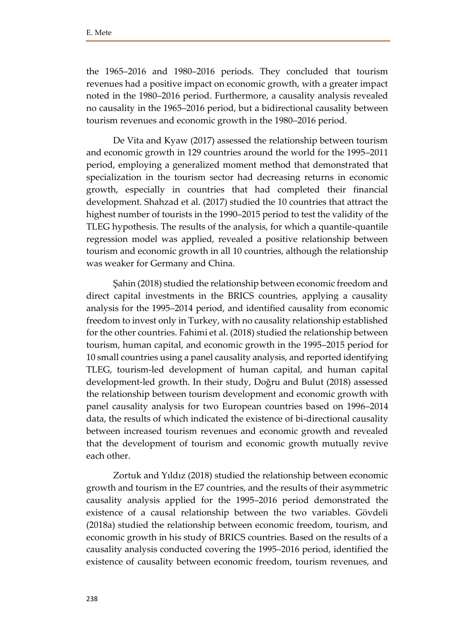the 1965–2016 and 1980–2016 periods. They concluded that tourism revenues had a positive impact on economic growth, with a greater impact noted in the 1980–2016 period. Furthermore, a causality analysis revealed no causality in the 1965–2016 period, but a bidirectional causality between tourism revenues and economic growth in the 1980–2016 period.

De Vita and Kyaw (2017) assessed the relationship between tourism and economic growth in 129 countries around the world for the 1995–2011 period, employing a generalized moment method that demonstrated that specialization in the tourism sector had decreasing returns in economic growth, especially in countries that had completed their financial development. Shahzad et al. (2017) studied the 10 countries that attract the highest number of tourists in the 1990–2015 period to test the validity of the TLEG hypothesis. The results of the analysis, for which a quantile-quantile regression model was applied, revealed a positive relationship between tourism and economic growth in all 10 countries, although the relationship was weaker for Germany and China.

Şahin (2018) studied the relationship between economic freedom and direct capital investments in the BRICS countries, applying a causality analysis for the 1995–2014 period, and identified causality from economic freedom to invest only in Turkey, with no causality relationship established for the other countries. Fahimi et al. (2018) studied the relationship between tourism, human capital, and economic growth in the 1995–2015 period for 10 small countries using a panel causality analysis, and reported identifying TLEG, tourism-led development of human capital, and human capital development-led growth. In their study, Doğru and Bulut (2018) assessed the relationship between tourism development and economic growth with panel causality analysis for two European countries based on 1996–2014 data, the results of which indicated the existence of bi-directional causality between increased tourism revenues and economic growth and revealed that the development of tourism and economic growth mutually revive each other.

Zortuk and Yıldız (2018) studied the relationship between economic growth and tourism in the E7 countries, and the results of their asymmetric causality analysis applied for the 1995–2016 period demonstrated the existence of a causal relationship between the two variables. Gövdeli (2018a) studied the relationship between economic freedom, tourism, and economic growth in his study of BRICS countries. Based on the results of a causality analysis conducted covering the 1995–2016 period, identified the existence of causality between economic freedom, tourism revenues, and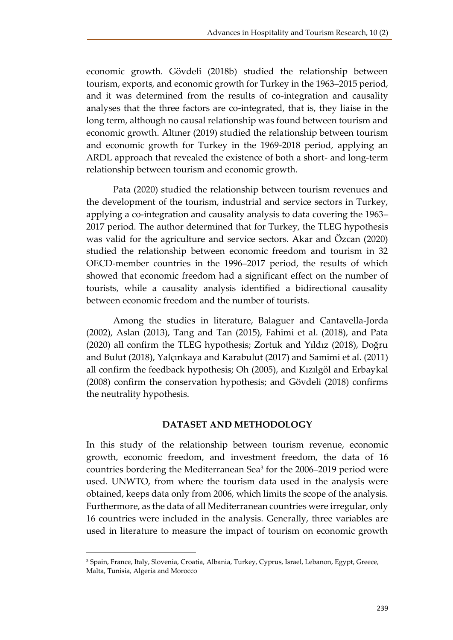economic growth. Gövdeli (2018b) studied the relationship between tourism, exports, and economic growth for Turkey in the 1963–2015 period, and it was determined from the results of co-integration and causality analyses that the three factors are co-integrated, that is, they liaise in the long term, although no causal relationship was found between tourism and economic growth. Altıner (2019) studied the relationship between tourism and economic growth for Turkey in the 1969-2018 period, applying an ARDL approach that revealed the existence of both a short- and long-term relationship between tourism and economic growth.

Pata (2020) studied the relationship between tourism revenues and the development of the tourism, industrial and service sectors in Turkey, applying a co-integration and causality analysis to data covering the 1963– 2017 period. The author determined that for Turkey, the TLEG hypothesis was valid for the agriculture and service sectors. Akar and Özcan (2020) studied the relationship between economic freedom and tourism in 32 OECD-member countries in the 1996–2017 period, the results of which showed that economic freedom had a significant effect on the number of tourists, while a causality analysis identified a bidirectional causality between economic freedom and the number of tourists.

Among the studies in literature, Balaguer and Cantavella-Jorda (2002), Aslan (2013), Tang and Tan (2015), Fahimi et al. (2018), and Pata (2020) all confirm the TLEG hypothesis; Zortuk and Yıldız (2018), Doğru and Bulut (2018), Yalçınkaya and Karabulut (2017) and Samimi et al. (2011) all confirm the feedback hypothesis; Oh (2005), and Kızılgöl and Erbaykal (2008) confirm the conservation hypothesis; and Gövdeli (2018) confirms the neutrality hypothesis.

# **DATASET AND METHODOLOGY**

In this study of the relationship between tourism revenue, economic growth, economic freedom, and investment freedom, the data of 16 countries bordering the Mediterranean Sea<sup>3</sup> for the 2006–2019 period were used. UNWTO, from where the tourism data used in the analysis were obtained, keeps data only from 2006, which limits the scope of the analysis. Furthermore, as the data of all Mediterranean countries were irregular, only 16 countries were included in the analysis. Generally, three variables are used in literature to measure the impact of tourism on economic growth

 $\overline{a}$ 

<sup>3</sup> Spain, France, Italy, Slovenia, Croatia, Albania, Turkey, Cyprus, Israel, Lebanon, Egypt, Greece, Malta, Tunisia, Algeria and Morocco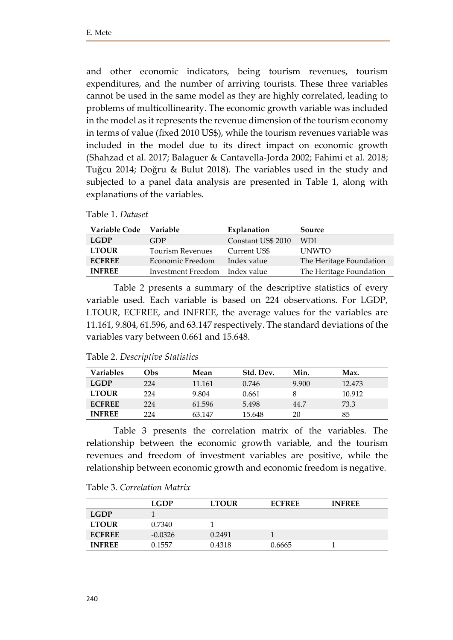and other economic indicators, being tourism revenues, tourism expenditures, and the number of arriving tourists. These three variables cannot be used in the same model as they are highly correlated, leading to problems of multicollinearity. The economic growth variable was included in the model as it represents the revenue dimension of the tourism economy in terms of value (fixed 2010 US\$), while the tourism revenues variable was included in the model due to its direct impact on economic growth (Shahzad et al. 2017; Balaguer & Cantavella-Jorda 2002; Fahimi et al. 2018; Tuğcu 2014; Doğru & Bulut 2018). The variables used in the study and subjected to a panel data analysis are presented in Table 1, along with explanations of the variables.

|  | Table 1. Dataset |  |
|--|------------------|--|
|  |                  |  |

| <b>Variable Code</b> | <b>Variable</b>                | Explanation        | Source                  |
|----------------------|--------------------------------|--------------------|-------------------------|
| <b>LGDP</b>          | GDP                            | Constant US\$ 2010 | <b>WDI</b>              |
| <b>LTOUR</b>         | <b>Tourism Revenues</b>        | Current US\$       | <b>UNWTO</b>            |
| <b>ECFREE</b>        | Economic Freedom               | Index value        | The Heritage Foundation |
| <b>INFREE</b>        | Investment Freedom Index value |                    | The Heritage Foundation |

Table 2 presents a summary of the descriptive statistics of every variable used. Each variable is based on 224 observations. For LGDP, LTOUR, ECFREE, and INFREE, the average values for the variables are 11.161, 9.804, 61.596, and 63.147 respectively. The standard deviations of the variables vary between 0.661 and 15.648.

| Table 2. Descriptive Statistics |  |
|---------------------------------|--|
|---------------------------------|--|

| <b>Variables</b> | Obs | Mean   | Std. Dev. | Min.  | Max.   |
|------------------|-----|--------|-----------|-------|--------|
| <b>LGDP</b>      | 224 | 11.161 | 0.746     | 9.900 | 12.473 |
| <b>LTOUR</b>     | 224 | 9.804  | 0.661     |       | 10.912 |
| <b>ECFREE</b>    | 224 | 61.596 | 5.498     | 44.7  | 73.3   |
| <b>INFREE</b>    | 224 | 63.147 | 15.648    | 20    | 85     |

Table 3 presents the correlation matrix of the variables. The relationship between the economic growth variable, and the tourism revenues and freedom of investment variables are positive, while the relationship between economic growth and economic freedom is negative.

| Table 3. Correlation Matrix |  |  |  |
|-----------------------------|--|--|--|
|-----------------------------|--|--|--|

|               | <b>LGDP</b> | <b>LTOUR</b> | <b>ECFREE</b> | <b>INFREE</b> |
|---------------|-------------|--------------|---------------|---------------|
| <b>LGDP</b>   |             |              |               |               |
| <b>LTOUR</b>  | 0.7340      |              |               |               |
| <b>ECFREE</b> | $-0.0326$   | 0.2491       |               |               |
| <b>INFREE</b> | 0.1557      | 0.4318       | 0.6665        |               |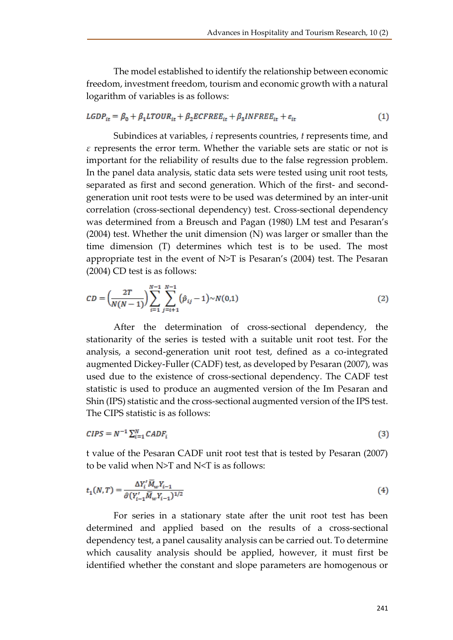The model established to identify the relationship between economic freedom, investment freedom, tourism and economic growth with a natural logarithm of variables is as follows:

$$
LGDP_{it} = \beta_0 + \beta_1 LTOUR_{it} + \beta_2 ECFREE_{it} + \beta_3 INFREE_{it} + \varepsilon_{it}
$$
\n
$$
\tag{1}
$$

Subindices at variables, *i* represents countries, *t* represents time, and *ε* represents the error term. Whether the variable sets are static or not is important for the reliability of results due to the false regression problem. In the panel data analysis, static data sets were tested using unit root tests, separated as first and second generation. Which of the first- and secondgeneration unit root tests were to be used was determined by an inter-unit correlation (cross-sectional dependency) test. Cross-sectional dependency was determined from a Breusch and Pagan (1980) LM test and Pesaran's (2004) test. Whether the unit dimension (N) was larger or smaller than the time dimension (T) determines which test is to be used. The most appropriate test in the event of  $N>T$  is Pesaran's (2004) test. The Pesaran (2004) CD test is as follows:

$$
CD = \left(\frac{2T}{N(N-1)}\right) \sum_{i=1}^{N-1} \sum_{j=i+1}^{N-1} (\hat{p}_{ij} - 1) \sim N(0,1) \tag{2}
$$

After the determination of cross-sectional dependency, the stationarity of the series is tested with a suitable unit root test. For the analysis, a second-generation unit root test, defined as a co-integrated augmented Dickey-Fuller (CADF) test, as developed by Pesaran (2007), was used due to the existence of cross-sectional dependency. The CADF test statistic is used to produce an augmented version of the Im Pesaran and Shin (IPS) statistic and the cross-sectional augmented version of the IPS test. The CIPS statistic is as follows:

$$
CIPS = N^{-1} \sum_{i=1}^{N} CADF_i
$$
\n
$$
(3)
$$

t value of the Pesaran CADF unit root test that is tested by Pesaran (2007) to be valid when  $N>T$  and  $N < T$  is as follows:

$$
t_1(N,T) = \frac{\Delta Y_i' \overline{M}_w Y_{i-1}}{\hat{\sigma}(Y_{i-1}' \overline{M}_w Y_{i-1})^{1/2}}
$$
\n(4)

For series in a stationary state after the unit root test has been determined and applied based on the results of a cross-sectional dependency test, a panel causality analysis can be carried out. To determine which causality analysis should be applied, however, it must first be identified whether the constant and slope parameters are homogenous or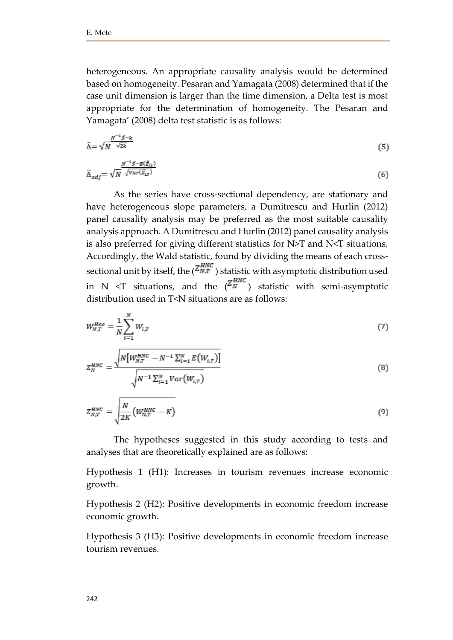heterogeneous. An appropriate causality analysis would be determined based on homogeneity. Pesaran and Yamagata (2008) determined that if the case unit dimension is larger than the time dimension, a Delta test is most appropriate for the determination of homogeneity. The Pesaran and Yamagata' (2008) delta test statistic is as follows:

$$
\widehat{\Delta} = \sqrt{N}^{\frac{N^{-1}S - k}{\sqrt{2k}}} \tag{5}
$$

$$
\hat{\Delta}_{adj} = \sqrt{N} \frac{N^{-1} \mathcal{S} - E(\check{Z}_{it})}{\sqrt{Var(\check{Z}_{it})}}
$$
(6)

As the series have cross-sectional dependency, are stationary and have heterogeneous slope parameters, a Dumitrescu and Hurlin (2012) panel causality analysis may be preferred as the most suitable causality analysis approach. A Dumitrescu and Hurlin (2012) panel causality analysis is also preferred for giving different statistics for N>T and N<T situations. Accordingly, the Wald statistic, found by dividing the means of each crosssectional unit by itself, the  $\binom{Z_{N,T}^{HNC}}{N}$  statistic with asymptotic distribution used in N  $\leq$ T situations, and the  $\binom{Z_N^{HNC}}{N}$  statistic with semi-asymptotic distribution used in T<N situations are as follows:

$$
W_{N,T}^{Hnc} = \frac{1}{N} \sum_{i=1}^{N} W_{i,T}
$$
 (7)

$$
Z_N^{HNC} = \frac{\sqrt{N \left[W_{N,T}^{HNC} - N^{-1} \sum_{i=1}^N E(W_{i,T})\right]}}{\sqrt{N^{-1} \sum_{i=1}^N Var(W_{i,T})}}
$$
(8)

$$
Z_{N,T}^{HNC} = \sqrt{\frac{N}{2K} \left( W_{N,T}^{HNC} - K \right)}
$$
\n(9)

The hypotheses suggested in this study according to tests and analyses that are theoretically explained are as follows:

Hypothesis 1 (H1): Increases in tourism revenues increase economic growth.

Hypothesis 2 (H2): Positive developments in economic freedom increase economic growth.

Hypothesis 3 (H3): Positive developments in economic freedom increase tourism revenues.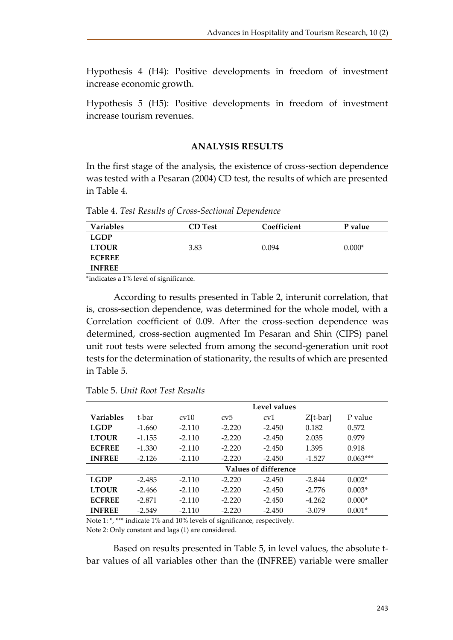Hypothesis 4 (H4): Positive developments in freedom of investment increase economic growth.

Hypothesis 5 (H5): Positive developments in freedom of investment increase tourism revenues.

### **ANALYSIS RESULTS**

In the first stage of the analysis, the existence of cross-section dependence was tested with a Pesaran (2004) CD test, the results of which are presented in Table 4.

Table 4. *Test Results of Cross-Sectional Dependence*

| <b>Variables</b> | <b>CD</b> Test | Coefficient | P value  |
|------------------|----------------|-------------|----------|
| <b>LGDP</b>      |                |             |          |
| <b>LTOUR</b>     | 3.83           | 0.094       | $0.000*$ |
| <b>ECFREE</b>    |                |             |          |
| <b>INFREE</b>    |                |             |          |

\*indicates a 1% level of significance.

According to results presented in Table 2, interunit correlation, that is, cross-section dependence, was determined for the whole model, with a Correlation coefficient of 0.09. After the cross-section dependence was determined, cross-section augmented Im Pesaran and Shin (CIPS) panel unit root tests were selected from among the second-generation unit root tests for the determination of stationarity, the results of which are presented in Table 5.

|                  |          |               |          | Level values                |            |            |
|------------------|----------|---------------|----------|-----------------------------|------------|------------|
| <b>Variables</b> | t-bar    | $\text{cv}10$ | cv5      | cv1                         | $Z[t-bar]$ | P value    |
| <b>LGDP</b>      | $-1.660$ | $-2.110$      | $-2.220$ | $-2.450$                    | 0.182      | 0.572      |
| <b>LTOUR</b>     | $-1.155$ | $-2.110$      | $-2.220$ | $-2.450$                    | 2.035      | 0.979      |
| <b>ECFREE</b>    | $-1.330$ | $-2.110$      | $-2.220$ | $-2.450$                    | 1.395      | 0.918      |
| <b>INFREE</b>    | $-2.126$ | $-2.110$      | $-2.220$ | $-2.450$                    | $-1.527$   | $0.063***$ |
|                  |          |               |          | <b>Values of difference</b> |            |            |
| <b>LGDP</b>      | $-2.485$ | $-2.110$      | $-2.220$ | $-2.450$                    | $-2.844$   | $0.002*$   |
| <b>LTOUR</b>     | $-2.466$ | $-2.110$      | $-2.220$ | $-2.450$                    | $-2.776$   | $0.003*$   |
| <b>ECFREE</b>    | $-2.871$ | $-2.110$      | $-2.220$ | $-2.450$                    | $-4.262$   | $0.000*$   |
| <b>INFREE</b>    | $-2.549$ | $-2.110$      | $-2.220$ | $-2.450$                    | $-3.079$   | $0.001*$   |

Table 5. *Unit Root Test Results*

Note 1: \*, \*\*\* indicate 1% and 10% levels of significance, respectively.

Note 2: Only constant and lags (1) are considered.

Based on results presented in Table 5, in level values, the absolute tbar values of all variables other than the (INFREE) variable were smaller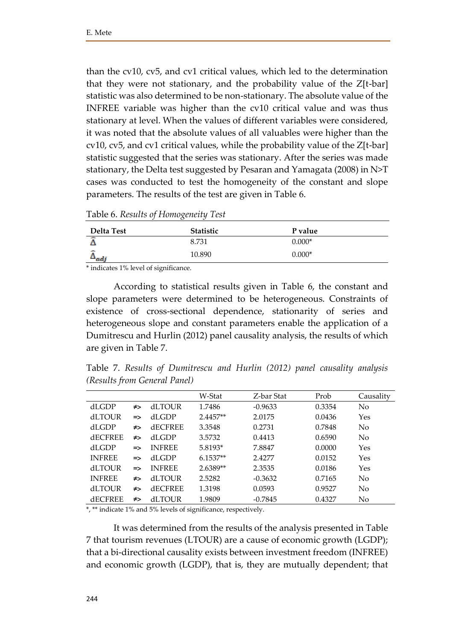than the cv10, cv5, and cv1 critical values, which led to the determination that they were not stationary, and the probability value of the Z[t-bar] statistic was also determined to be non-stationary. The absolute value of the INFREE variable was higher than the cv10 critical value and was thus stationary at level. When the values of different variables were considered, it was noted that the absolute values of all valuables were higher than the cv10, cv5, and cv1 critical values, while the probability value of the Z[t-bar] statistic suggested that the series was stationary. After the series was made stationary, the Delta test suggested by Pesaran and Yamagata (2008) in N>T cases was conducted to test the homogeneity of the constant and slope parameters. The results of the test are given in Table 6.

Table 6. *Results of Homogeneity Test*

| Delta Test | <b>Statistic</b> | P value  |
|------------|------------------|----------|
| $\sim$     | 8.731            | $0.000*$ |
| ÷<br>→adj  | 10.890           | $0.000*$ |

\* indicates 1% level of significance.

According to statistical results given in Table 6, the constant and slope parameters were determined to be heterogeneous. Constraints of existence of cross-sectional dependence, stationarity of series and heterogeneous slope and constant parameters enable the application of a Dumitrescu and Hurlin (2012) panel causality analysis, the results of which are given in Table 7.

Table 7. *Results of Dumitrescu and Hurlin (2012) panel causality analysis (Results from General Panel)*

|                |               |                | W-Stat     | Z-bar Stat | Prob   | Causality |
|----------------|---------------|----------------|------------|------------|--------|-----------|
| dLGDP          | ≠>            | <b>dLTOUR</b>  | 1.7486     | $-0.9633$  | 0.3354 | No        |
| <b>dLTOUR</b>  | $\Rightarrow$ | dLGDP          | $2.4457**$ | 2.0175     | 0.0436 | Yes       |
| dLGDP          | ≠>            | <b>AECFREE</b> | 3.3548     | 0.2731     | 0.7848 | No        |
| <b>dECFREE</b> | ≠>            | dLGDP          | 3.5732     | 0.4413     | 0.6590 | No        |
| dLGDP          | $\Rightarrow$ | <b>INFREE</b>  | $5.8193*$  | 7.8847     | 0.0000 | Yes       |
| <b>INFREE</b>  | $\Rightarrow$ | dLGDP          | $6.1537**$ | 2.4277     | 0.0152 | Yes       |
| <b>dLTOUR</b>  | $\Rightarrow$ | <b>INFREE</b>  | 2.6389**   | 2.3535     | 0.0186 | Yes       |
| <b>INFREE</b>  | ≠>            | dLTOUR         | 2.5282     | $-0.3632$  | 0.7165 | No        |
| <b>dLTOUR</b>  | ≠>            | <b>dECFREE</b> | 1.3198     | 0.0593     | 0.9527 | No        |
| <b>dECFREE</b> | ≠>            | <b>dLTOUR</b>  | 1.9809     | $-0.7845$  | 0.4327 | No        |

\*, \*\* indicate 1% and 5% levels of significance, respectively.

It was determined from the results of the analysis presented in Table 7 that tourism revenues (LTOUR) are a cause of economic growth (LGDP); that a bi-directional causality exists between investment freedom (INFREE) and economic growth (LGDP), that is, they are mutually dependent; that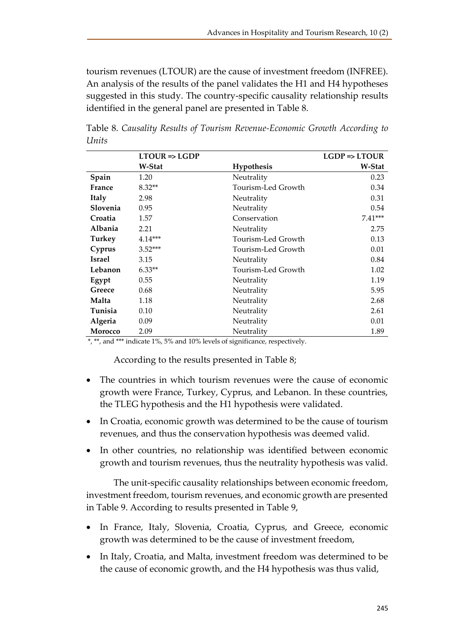tourism revenues (LTOUR) are the cause of investment freedom (INFREE). An analysis of the results of the panel validates the H1 and H4 hypotheses suggested in this study. The country-specific causality relationship results identified in the general panel are presented in Table 8.

|                | $LTOUR \Rightarrow LGDP$ |                    | $LGDP \Rightarrow LTOUR$ |
|----------------|--------------------------|--------------------|--------------------------|
|                | W-Stat                   | Hypothesis         | W-Stat                   |
| Spain          | 1.20                     | Neutrality         | 0.23                     |
| France         | $8.32**$                 | Tourism-Led Growth | 0.34                     |
| <b>Italy</b>   | 2.98                     | Neutrality         | 0.31                     |
| Slovenia       | 0.95                     | Neutrality         | 0.54                     |
| Croatia        | 1.57                     | Conservation       | $7.41***$                |
| <b>Albania</b> | 2.21                     | Neutrality         | 2.75                     |
| Turkey         | $4.14***$                | Tourism-Led Growth | 0.13                     |
| Cyprus         | $3.52***$                | Tourism-Led Growth | 0.01                     |
| <b>Israel</b>  | 3.15                     | Neutrality         | 0.84                     |
| Lebanon        | $6.33**$                 | Tourism-Led Growth | 1.02                     |
| Egypt          | 0.55                     | Neutrality         | 1.19                     |
| Greece         | 0.68                     | Neutrality         | 5.95                     |
| Malta          | 1.18                     | Neutrality         | 2.68                     |
| Tunisia        | 0.10                     | Neutrality         | 2.61                     |
| Algeria        | 0.09                     | Neutrality         | 0.01                     |
| <b>Morocco</b> | 2.09                     | Neutrality         | 1.89                     |

Table 8. *Causality Results of Tourism Revenue-Economic Growth According to Units* 

\*, \*\*, and \*\*\* indicate 1%, 5% and 10% levels of significance, respectively.

According to the results presented in Table 8;

- The countries in which tourism revenues were the cause of economic growth were France, Turkey, Cyprus, and Lebanon. In these countries, the TLEG hypothesis and the H1 hypothesis were validated.
- In Croatia, economic growth was determined to be the cause of tourism revenues, and thus the conservation hypothesis was deemed valid.
- In other countries, no relationship was identified between economic growth and tourism revenues, thus the neutrality hypothesis was valid.

The unit-specific causality relationships between economic freedom, investment freedom, tourism revenues, and economic growth are presented in Table 9. According to results presented in Table 9,

- In France, Italy, Slovenia, Croatia, Cyprus, and Greece, economic growth was determined to be the cause of investment freedom,
- In Italy, Croatia, and Malta, investment freedom was determined to be the cause of economic growth, and the H4 hypothesis was thus valid,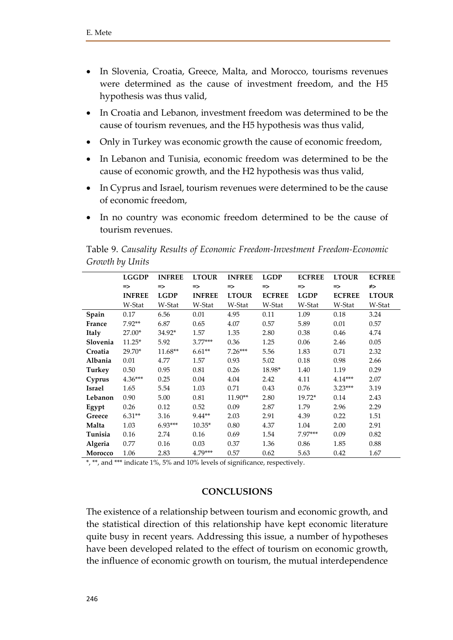- In Slovenia, Croatia, Greece, Malta, and Morocco, tourisms revenues were determined as the cause of investment freedom, and the H5 hypothesis was thus valid,
- In Croatia and Lebanon, investment freedom was determined to be the cause of tourism revenues, and the H5 hypothesis was thus valid,
- Only in Turkey was economic growth the cause of economic freedom,
- In Lebanon and Tunisia, economic freedom was determined to be the cause of economic growth, and the H2 hypothesis was thus valid,
- In Cyprus and Israel, tourism revenues were determined to be the cause of economic freedom,
- In no country was economic freedom determined to be the cause of tourism revenues.

|               | <b>LGGDP</b>  | <b>INFREE</b> | <b>LTOUR</b>  | <b>INFREE</b> | <b>LGDP</b>   | <b>ECFREE</b> | <b>LTOUR</b>  | <b>ECFREE</b> |
|---------------|---------------|---------------|---------------|---------------|---------------|---------------|---------------|---------------|
|               | $\Rightarrow$ | $\Rightarrow$ | $\Rightarrow$ | $\Rightarrow$ | $\Rightarrow$ | $\Rightarrow$ | $\Rightarrow$ | ≠>            |
|               | <b>INFREE</b> | <b>LGDP</b>   | <b>INFREE</b> | <b>LTOUR</b>  | <b>ECFREE</b> | <b>LGDP</b>   | <b>ECFREE</b> | <b>LTOUR</b>  |
|               | W-Stat        | W-Stat        | W-Stat        | W-Stat        | W-Stat        | W-Stat        | W-Stat        | W-Stat        |
| Spain         | 0.17          | 6.56          | 0.01          | 4.95          | 0.11          | 1.09          | 0.18          | 3.24          |
| France        | $7.92**$      | 6.87          | 0.65          | 4.07          | 0.57          | 5.89          | 0.01          | 0.57          |
| Italy         | $27.00*$      | 34.92*        | 1.57          | 1.35          | 2.80          | 0.38          | 0.46          | 4.74          |
| Slovenia      | $11.25*$      | 5.92          | $3.77***$     | 0.36          | 1.25          | 0.06          | 2.46          | 0.05          |
| Croatia       | $29.70*$      | $11.68**$     | $6.61**$      | $7.26***$     | 5.56          | 1.83          | 0.71          | 2.32          |
| Albania       | 0.01          | 4.77          | 1.57          | 0.93          | 5.02          | 0.18          | 0.98          | 2.66          |
| Turkey        | 0.50          | 0.95          | 0.81          | 0.26          | 18.98*        | 1.40          | 1.19          | 0.29          |
| Cyprus        | $4.36***$     | 0.25          | 0.04          | 4.04          | 2.42          | 4.11          | $4.14***$     | 2.07          |
| <b>Israel</b> | 1.65          | 5.54          | 1.03          | 0.71          | 0.43          | 0.76          | $3.23***$     | 3.19          |
| Lebanon       | 0.90          | 5.00          | 0.81          | $11.90**$     | 2.80          | $19.72*$      | 0.14          | 2.43          |
| Egypt         | 0.26          | 0.12          | 0.52          | 0.09          | 2.87          | 1.79          | 2.96          | 2.29          |
| Greece        | $6.31**$      | 3.16          | $9.44**$      | 2.03          | 2.91          | 4.39          | 0.22          | 1.51          |
| Malta         | 1.03          | $6.93***$     | $10.35*$      | 0.80          | 4.37          | 1.04          | 2.00          | 2.91          |
| Tunisia       | 0.16          | 2.74          | 0.16          | 0.69          | 1.54          | 7.97***       | 0.09          | 0.82          |
| Algeria       | 0.77          | 0.16          | 0.03          | 0.37          | 1.36          | 0.86          | 1.85          | 0.88          |
| Morocco       | 1.06          | 2.83          | $4.79***$     | 0.57          | 0.62          | 5.63          | 0.42          | 1.67          |

Table 9. *Causality Results of Economic Freedom-Investment Freedom-Economic Growth by Units*

\*, \*\*, and \*\*\* indicate 1%, 5% and 10% levels of significance, respectively.

# **CONCLUSIONS**

The existence of a relationship between tourism and economic growth, and the statistical direction of this relationship have kept economic literature quite busy in recent years. Addressing this issue, a number of hypotheses have been developed related to the effect of tourism on economic growth, the influence of economic growth on tourism, the mutual interdependence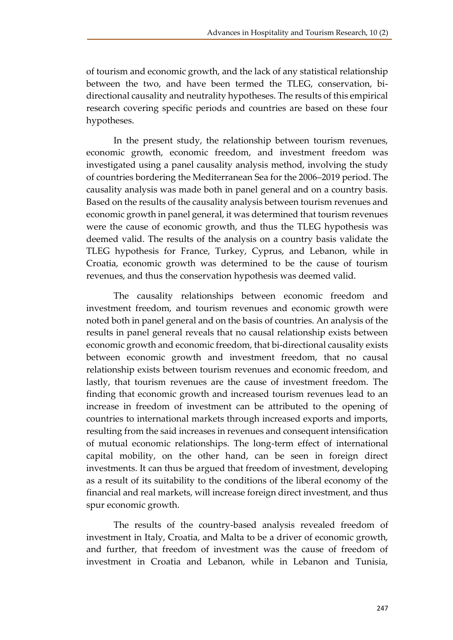of tourism and economic growth, and the lack of any statistical relationship between the two, and have been termed the TLEG, conservation, bidirectional causality and neutrality hypotheses. The results of this empirical research covering specific periods and countries are based on these four hypotheses.

In the present study, the relationship between tourism revenues, economic growth, economic freedom, and investment freedom was investigated using a panel causality analysis method, involving the study of countries bordering the Mediterranean Sea for the 2006–2019 period. The causality analysis was made both in panel general and on a country basis. Based on the results of the causality analysis between tourism revenues and economic growth in panel general, it was determined that tourism revenues were the cause of economic growth, and thus the TLEG hypothesis was deemed valid. The results of the analysis on a country basis validate the TLEG hypothesis for France, Turkey, Cyprus, and Lebanon, while in Croatia, economic growth was determined to be the cause of tourism revenues, and thus the conservation hypothesis was deemed valid.

The causality relationships between economic freedom and investment freedom, and tourism revenues and economic growth were noted both in panel general and on the basis of countries. An analysis of the results in panel general reveals that no causal relationship exists between economic growth and economic freedom, that bi-directional causality exists between economic growth and investment freedom, that no causal relationship exists between tourism revenues and economic freedom, and lastly, that tourism revenues are the cause of investment freedom. The finding that economic growth and increased tourism revenues lead to an increase in freedom of investment can be attributed to the opening of countries to international markets through increased exports and imports, resulting from the said increases in revenues and consequent intensification of mutual economic relationships. The long-term effect of international capital mobility, on the other hand, can be seen in foreign direct investments. It can thus be argued that freedom of investment, developing as a result of its suitability to the conditions of the liberal economy of the financial and real markets, will increase foreign direct investment, and thus spur economic growth.

The results of the country-based analysis revealed freedom of investment in Italy, Croatia, and Malta to be a driver of economic growth, and further, that freedom of investment was the cause of freedom of investment in Croatia and Lebanon, while in Lebanon and Tunisia,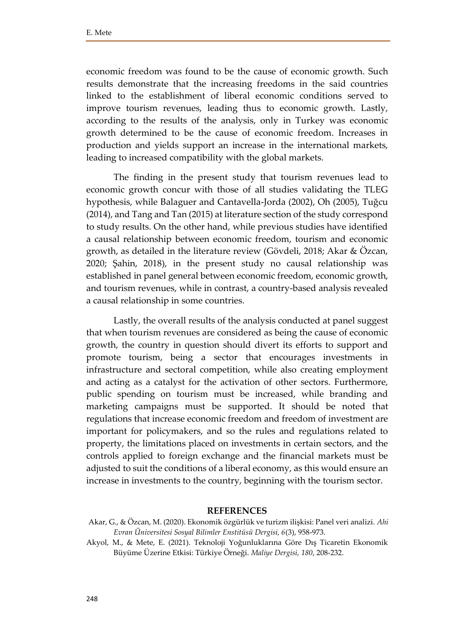economic freedom was found to be the cause of economic growth. Such results demonstrate that the increasing freedoms in the said countries linked to the establishment of liberal economic conditions served to improve tourism revenues, leading thus to economic growth. Lastly, according to the results of the analysis, only in Turkey was economic growth determined to be the cause of economic freedom. Increases in production and yields support an increase in the international markets, leading to increased compatibility with the global markets.

The finding in the present study that tourism revenues lead to economic growth concur with those of all studies validating the TLEG hypothesis, while Balaguer and Cantavella-Jorda (2002), Oh (2005), Tuğcu (2014), and Tang and Tan (2015) at literature section of the study correspond to study results. On the other hand, while previous studies have identified a causal relationship between economic freedom, tourism and economic growth, as detailed in the literature review (Gövdeli, 2018; Akar & Özcan, 2020; Şahin, 2018), in the present study no causal relationship was established in panel general between economic freedom, economic growth, and tourism revenues, while in contrast, a country-based analysis revealed a causal relationship in some countries.

Lastly, the overall results of the analysis conducted at panel suggest that when tourism revenues are considered as being the cause of economic growth, the country in question should divert its efforts to support and promote tourism, being a sector that encourages investments in infrastructure and sectoral competition, while also creating employment and acting as a catalyst for the activation of other sectors. Furthermore, public spending on tourism must be increased, while branding and marketing campaigns must be supported. It should be noted that regulations that increase economic freedom and freedom of investment are important for policymakers, and so the rules and regulations related to property, the limitations placed on investments in certain sectors, and the controls applied to foreign exchange and the financial markets must be adjusted to suit the conditions of a liberal economy, as this would ensure an increase in investments to the country, beginning with the tourism sector.

#### **REFERENCES**

Akar, G., & Özcan, M. (2020). Ekonomik özgürlük ve turizm ilişkisi: Panel veri analizi. *Ahi Evran Üniversitesi Sosyal Bilimler Enstitüsü Dergisi, 6*(3), 958-973.

Akyol, M., & Mete, E. (2021). Teknoloji Yoğunluklarına Göre Dış Ticaretin Ekonomik Büyüme Üzerine Etkisi: Türkiye Örneği. *Maliye Dergisi, 180*, 208-232.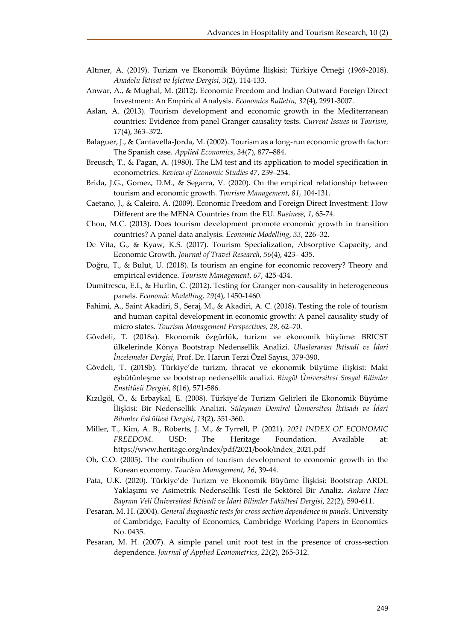- Altıner, A. (2019). Turizm ve Ekonomik Büyüme İlişkisi: Türkiye Örneği (1969-2018). *Anadolu İktisat ve İşletme Dergisi, 3*(2), 114-133*.*
- Anwar, A., & Mughal, M. (2012). Economic Freedom and Indian Outward Foreign Direct Investment: An Empirical Analysis. *Economics Bulletin, 32*(4), 2991-3007.
- Aslan, A. (2013). Tourism development and economic growth in the Mediterranean countries: Evidence from panel Granger causality tests. *Current Issues in Tourism*, *17*(4), 363–372.
- Balaguer, J., & Cantavella-Jorda, M. (2002). Tourism as a long-run economic growth factor: The Spanish case. *Applied Economics*, *34*(7), 877–884.
- Breusch, T., & Pagan, A. (1980). The LM test and its application to model specification in econometrics. *Review of Economic Studies 47*, 239–254.
- Brida, J.G., Gomez, D.M., & Segarra, V. (2020). On the empirical relationship between tourism and economic growth. *Tourism Management*, *81*, 104-131.
- Caetano, J., & Caleiro, A. (2009). Economic Freedom and Foreign Direct Investment: How Different are the MENA Countries from the EU. *Business*, *1*, 65-74.
- Chou, M.C. (2013). Does tourism development promote economic growth in transition countries? A panel data analysis. *Economic Modelling*, *33*, 226–32.
- De Vita, G., & Kyaw, K.S. (2017). Tourism Specialization, Absorptive Capacity, and Economic Growth. *Journal of Travel Research*, *56*(4), 423– 435.
- Doğru, T., & Bulut, U. (2018). Is tourism an engine for economic recovery? Theory and empirical evidence. *Tourism Management*, *67*, 425-434.
- Dumitrescu, E.I., & Hurlin, C. (2012). Testing for Granger non-causality in heterogeneous panels. *Economic Modelling, 29*(4), 1450-1460.
- Fahimi, A., Saint Akadiri, S., Seraj, M., & Akadiri, A. C. (2018). Testing the role of tourism and human capital development in economic growth: A panel causality study of micro states. *Tourism Management Perspectives, 28*, 62–70.
- Gövdeli, T. (2018a). Ekonomik özgürlük, turizm ve ekonomik büyüme: BRICST ülkelerinde Kónya Bootstrap Nedensellik Analizi. *Uluslararası İktisadi ve İdari İncelemeler Dergisi*, Prof. Dr. Harun Terzi Özel Sayısı, 379-390.
- Gövdeli, T. (2018b). Türkiye'de turizm, ihracat ve ekonomik büyüme ilişkisi: Maki eşbütünleşme ve bootstrap nedensellik analizi. *Bingöl Üniversitesi Sosyal Bilimler Enstitüsü Dergisi*, *8*(16), 571-586.
- Kızılgöl, Ö., & Erbaykal, E. (2008). Türkiye'de Turizm Gelirleri ile Ekonomik Büyüme İlişkisi: Bir Nedensellik Analizi. *Süleyman Demirel Üniversitesi İktisadi ve İdari Bilimler Fakültesi Dergisi*, *13*(2), 351-360.
- Miller, T., Kim, A. B., Roberts, J. M., & Tyrrell, P. (2021). *2021 INDEX OF ECONOMIC FREEDOM*. USD: The Heritage Foundation. Available at: https://www.heritage.org/index/pdf/2021/book/index\_2021.pdf
- Oh, C.O. (2005). The contribution of tourism development to economic growth in the Korean economy. *Tourism Management, 26*, 39-44.
- Pata, U.K. (2020). Türkiye'de Turizm ve Ekonomik Büyüme İlişkisi: Bootstrap ARDL Yaklaşımı ve Asimetrik Nedensellik Testi ile Sektörel Bir Analiz. *Ankara Hacı Bayram Veli Üniversitesi İktisadi ve İdari Bilimler Fakültesi Dergisi*, *22*(2), 590-611.
- Pesaran, M. H. (2004). *General diagnostic tests for cross section dependence in panels*. University of Cambridge, Faculty of Economics, Cambridge Working Papers in Economics No. 0435.
- Pesaran, M. H. (2007). A simple panel unit root test in the presence of cross-section dependence. *Journal of Applied Econometrics*, *22*(2), 265-312.